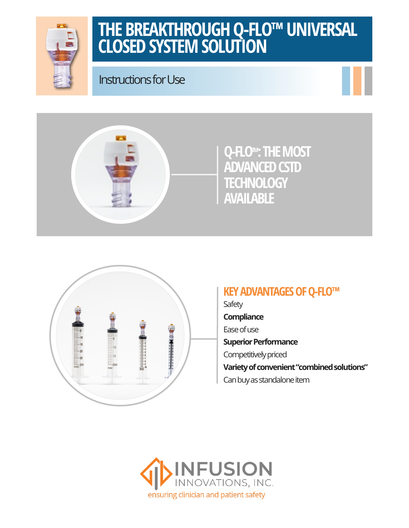

## **THE BREAKTHROUGH Q-FLO™ UNIVERSAL CLOSED SYSTEM SOLUTION**

Instructions for Use







### **KEY ADVANTAGES OF Q-FLO™**

**Safety Compliance** Ease of use **Superior Performance** Competitively priced **Variety of convenient "combined solutions"** Can buy as standalone item

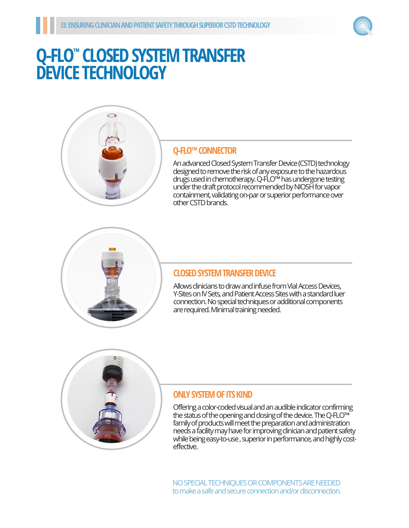

## **Q-FLO™ CLOSED SYSTEM TRANSFER DEVICE TECHNOLOGY**



#### **Q-FLO™ CONNECTOR**

An advanced Closed System Transfer Device (CSTD) technology designed to remove the risk of any exposure to the hazardous drugs used in chemotherapy. Q-FLO™ has undergone testing under the draft protocol recommended by NIOSH for vapor containment, validating on-par or superior performance over other CSTD brands.



#### **CLOSED SYSTEM TRANSFER DEVICE**

Allows clinicians to draw and infuse from Vial Access Devices, Y-Sites on IV Sets, and Patient Access Sites with a standard luer connection. No special techniques or additional components are required. Minimal training needed.



#### **ONLY SYSTEM OF ITS KIND**

Offering a color-coded visual and an audible indicator confirming the status of the opening and closing of the device. The Q-FLO™ family of products will meet the preparation and administration needs a facility may have for improving clinician and patient safety while being easy-to-use , superior in performance, and highly costeffective.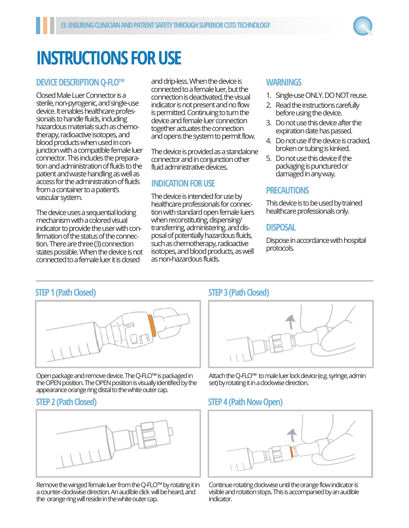

# **INSTRUCTIONS FOR USE**

#### **DEVICE DESCRIPTION Q-FLO™**

Closed Male Luer Connector is a sterile, non-pyrogenic, and single-use device. It enables healthcare professionals to handle fluids, including hazardous materials such as chemotherapy, radioactive isotopes, and blood products when used in conjunction with a compatible female luer connector. This includes the preparation and administration of fluids to the patient and waste handling as well as access for the administration of fluids from a container to a patient's vascular system.

The device uses a sequential locking mechanism with a colored visual indicator to provide the user with confirmation of the status of the connection. There are three (3) connection states possible. When the device is not connected to a female luer it is closed

and drip-less. When the device is connected to a female luer, but the connection is deactivated, the visual indicator is not present and no flow is permitted. Continuing to turn the device and female luer connection together actuates the connection and opens the system to permit flow.

The device is provided as a standalone connector and in conjunction other fluid administrative devices.

#### **INDICATION FOR USE**

The device is intended for use by healthcare professionals for connection with standard open female luers when reconstituting, dispensing/ transferring, administering. and disposal of potentially hazardous fluids, such as chemotherapy, radioactive isotopes, and blood products, as well as non-hazardous fluids.

#### **WARNINGS**

- 1. Single-use ONLY. DO NOT reuse.
- 2. Read the instructions carefully before using the device.
- 3. Do not use this device after the expiration date has passed.
- 4. Do not use if the device is cracked, broken or tubing is kinked.
- 5. Do not use this device if the packaging is punctured or damaged in any way.

#### **PRECAUTIONS**

This device is to be used by trained healthcare professionals only.

#### **DISPOSAL**

Dispose in accordance with hospital protocols.

#### **STEP 1 (Path Closed)**



Open package and remove device. The Q-FLO™ is packaged in the OPEN position. The OPEN position is visually identified by the appearance orange ring distal to the white outer cap.

#### **STEP 2 (Path Closed)**



Remove the winged female luer from the Q-FLO™ by rotating it in a counter-clockwise direction. An audible click will be heard, and the orange ring will reside in the white outer cap.

#### **STEP 3 (Path Closed)**



Attach the Q-FLO™ to male luer lock device (e.g. syringe, admin set) by rotating it in a clockwise direction.

#### **STEP 4 (Path Now Open)**



Continue rotating clockwise until the orange flow indicator is visible and rotation stops. This is accompanied by an audible indicator.